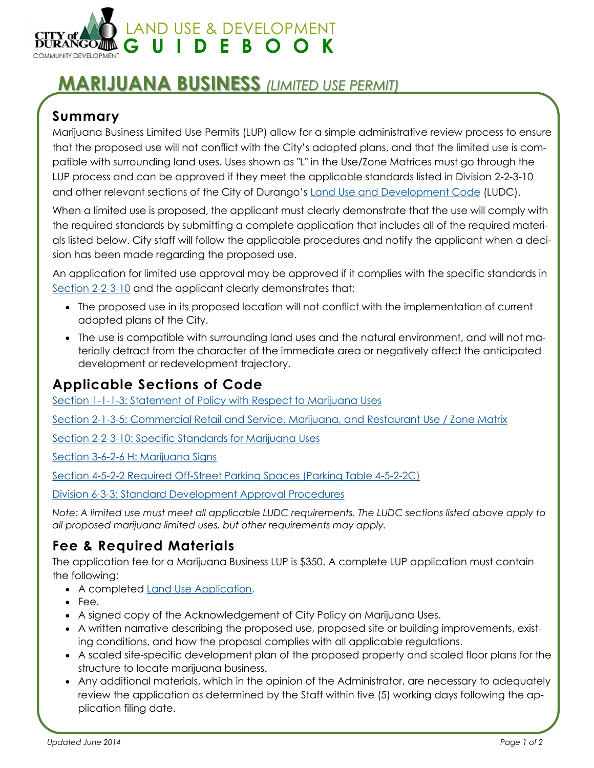

# **MARIJUANA BUSINESS** *(LIMITED USE PERMIT)*

### **Summary**

Marijuana Business Limited Use Permits (LUP) allow for a simple administrative review process to ensure that the proposed use will not conflict with the City's adopted plans, and that the limited use is compatible with surrounding land uses. Uses shown as "L" in the Use/Zone Matrices must go through the LUP process and can be approved if they meet the applicable standards listed in Division 2-2-3-10 and other relevant sections of the City of Durango's **Land Use and Development Code (LUDC)**.

When a limited use is proposed, the applicant must clearly demonstrate that the use will comply with the required standards by submitting a complete application that includes all of the required materials listed below. City staff will follow the applicable procedures and notify the applicant when a decision has been made regarding the proposed use.

An application for limited use approval may be approved if it complies with the specific standards in Section 2-2-3-10 and the applicant clearly demonstrates that:

- The proposed use in its proposed location will not conflict with the implementation of current adopted plans of the City.
- The use is compatible with surrounding land uses and the natural environment, and will not materially detract from the character of the immediate area or negatively affect the anticipated development or redevelopment trajectory.

### **Applicable Sections of Code**

Section 1-1-1-3: Statement of Policy with Respect to Marijuana Uses

Section 2-1-3-5: Commercial Retail and Service, Marijuana, and Restaurant Use / Zone Matrix

Section 2-2-3-10: Specific Standards for Marijuana Uses

Section 3-6-2-6 H: Marijuana Signs

Section 4-5-2-2 Required Off-Street Parking Spaces (Parking Table 4-5-2-2C)

Division 6-3-3: Standard Development Approval Procedures

*Note: A limited use must meet all applicable LUDC requirements. The LUDC sections listed above apply to all proposed marijuana limited uses, but other requirements may apply.*

### **Fee & Required Materials**

The application fee for a Marijuana Business LUP is \$350. A complete LUP application must contain the following:

- A completed Land Use Application.
- $\bullet$  Fee.
- A signed copy of the Acknowledgement of City Policy on Marijuana Uses.
- A written narrative describing the proposed use, proposed site or building improvements, existing conditions, and how the proposal complies with all applicable regulations.
- A scaled site-specific development plan of the proposed property and scaled floor plans for the structure to locate marijuana business.
- Any additional materials, which in the opinion of the Administrator, are necessary to adequately review the application as determined by the Staff within five (5) working days following the application filing date.